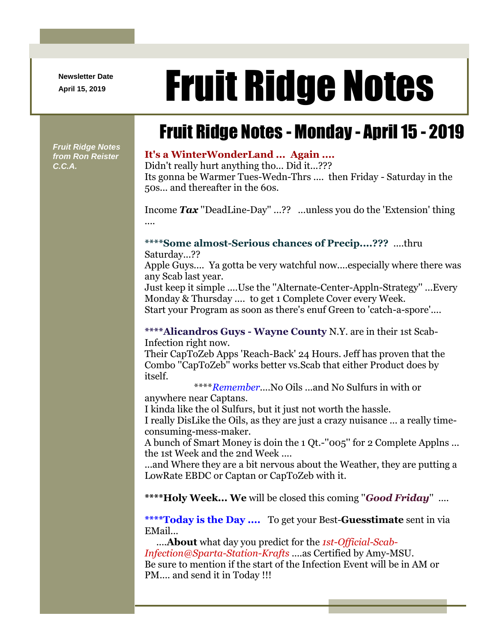**Newsletter Date**

# April 15, 2019 **Fruit Ridge Notes**

## Fruit Ridge Notes - Monday - April 15 - 2019

*Fruit Ridge Notes from Ron Reister C.C.A.*

#### **It's a WinterWonderLand ... Again ....**

Didn't really hurt anything tho... Did it...??? Its gonna be Warmer Tues-Wedn-Thrs .... then Friday - Saturday in the 50s... and thereafter in the 60s.

Income *Tax* ''DeadLine-Day'' ...?? ...unless you do the 'Extension' thing ....

#### **\*\*\*\*Some almost-Serious chances of Precip....???** ....thru

Saturday...??

Apple Guys.... Ya gotta be very watchful now....especially where there was any Scab last year.

Just keep it simple ....Use the ''Alternate-Center-Appln-Strategy'' ...Every Monday & Thursday .... to get 1 Complete Cover every Week.

Start your Program as soon as there's enuf Green to 'catch-a-spore'....

#### **\*\*\*\*Alicandros Guys - Wayne County** N.Y. are in their 1st Scab-Infection right now.

Their CapToZeb Apps 'Reach-Back' 24 Hours. Jeff has proven that the Combo ''CapToZeb'' works better vs.Scab that either Product does by itself.

\*\*\*\**Remember*....No Oils ...and No Sulfurs in with or

anywhere near Captans.

I kinda like the ol Sulfurs, but it just not worth the hassle.

I really DisLike the Oils, as they are just a crazy nuisance ... a really timeconsuming-mess-maker.

A bunch of Smart Money is doin the 1 Qt.-''005'' for 2 Complete Applns ... the 1st Week and the 2nd Week ....

...and Where they are a bit nervous about the Weather, they are putting a LowRate EBDC or Captan or CapToZeb with it.

**\*\*\*\*Holy Week... We** will be closed this coming ''*Good Friday*'' ....

**\*\*\*\*Today is the Day ....** To get your Best-**Guesstimate** sent in via EMail...

....**About** what day you predict for the *1st-Official-Scab-Infection@Sparta-Station-Krafts* ....as Certified by Amy-MSU. Be sure to mention if the start of the Infection Event will be in AM or PM.... and send it in Today !!!